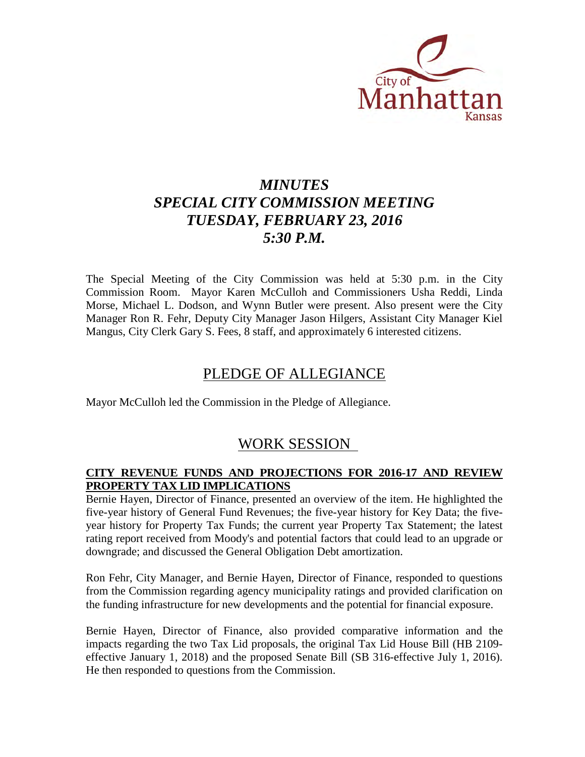

# *MINUTES SPECIAL CITY COMMISSION MEETING TUESDAY, FEBRUARY 23, 2016 5:30 P.M.*

The Special Meeting of the City Commission was held at 5:30 p.m. in the City Commission Room. Mayor Karen McCulloh and Commissioners Usha Reddi, Linda Morse, Michael L. Dodson, and Wynn Butler were present. Also present were the City Manager Ron R. Fehr, Deputy City Manager Jason Hilgers, Assistant City Manager Kiel Mangus, City Clerk Gary S. Fees, 8 staff, and approximately 6 interested citizens.

## PLEDGE OF ALLEGIANCE

Mayor McCulloh led the Commission in the Pledge of Allegiance.

## WORK SESSION

### **CITY REVENUE FUNDS AND PROJECTIONS FOR 2016-17 AND REVIEW PROPERTY TAX LID IMPLICATIONS**

Bernie Hayen, Director of Finance, presented an overview of the item. He highlighted the five-year history of General Fund Revenues; the five-year history for Key Data; the fiveyear history for Property Tax Funds; the current year Property Tax Statement; the latest rating report received from Moody's and potential factors that could lead to an upgrade or downgrade; and discussed the General Obligation Debt amortization.

Ron Fehr, City Manager, and Bernie Hayen, Director of Finance, responded to questions from the Commission regarding agency municipality ratings and provided clarification on the funding infrastructure for new developments and the potential for financial exposure.

Bernie Hayen, Director of Finance, also provided comparative information and the impacts regarding the two Tax Lid proposals, the original Tax Lid House Bill (HB 2109 effective January 1, 2018) and the proposed Senate Bill (SB 316-effective July 1, 2016). He then responded to questions from the Commission.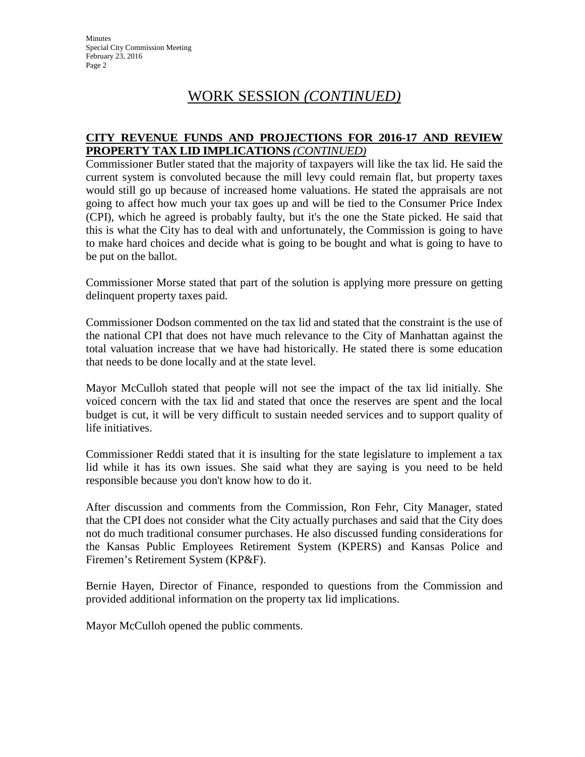**Minutes** Special City Commission Meeting February 23, 2016 Page 2

# WORK SESSION *(CONTINUED)*

### **CITY REVENUE FUNDS AND PROJECTIONS FOR 2016-17 AND REVIEW PROPERTY TAX LID IMPLICATIONS** *(CONTINUED)*

Commissioner Butler stated that the majority of taxpayers will like the tax lid. He said the current system is convoluted because the mill levy could remain flat, but property taxes would still go up because of increased home valuations. He stated the appraisals are not going to affect how much your tax goes up and will be tied to the Consumer Price Index (CPI), which he agreed is probably faulty, but it's the one the State picked. He said that this is what the City has to deal with and unfortunately, the Commission is going to have to make hard choices and decide what is going to be bought and what is going to have to be put on the ballot.

Commissioner Morse stated that part of the solution is applying more pressure on getting delinquent property taxes paid.

Commissioner Dodson commented on the tax lid and stated that the constraint is the use of the national CPI that does not have much relevance to the City of Manhattan against the total valuation increase that we have had historically. He stated there is some education that needs to be done locally and at the state level.

Mayor McCulloh stated that people will not see the impact of the tax lid initially. She voiced concern with the tax lid and stated that once the reserves are spent and the local budget is cut, it will be very difficult to sustain needed services and to support quality of life initiatives.

Commissioner Reddi stated that it is insulting for the state legislature to implement a tax lid while it has its own issues. She said what they are saying is you need to be held responsible because you don't know how to do it.

After discussion and comments from the Commission, Ron Fehr, City Manager, stated that the CPI does not consider what the City actually purchases and said that the City does not do much traditional consumer purchases. He also discussed funding considerations for the Kansas Public Employees Retirement System (KPERS) and Kansas Police and Firemen's Retirement System (KP&F).

Bernie Hayen, Director of Finance, responded to questions from the Commission and provided additional information on the property tax lid implications.

Mayor McCulloh opened the public comments.